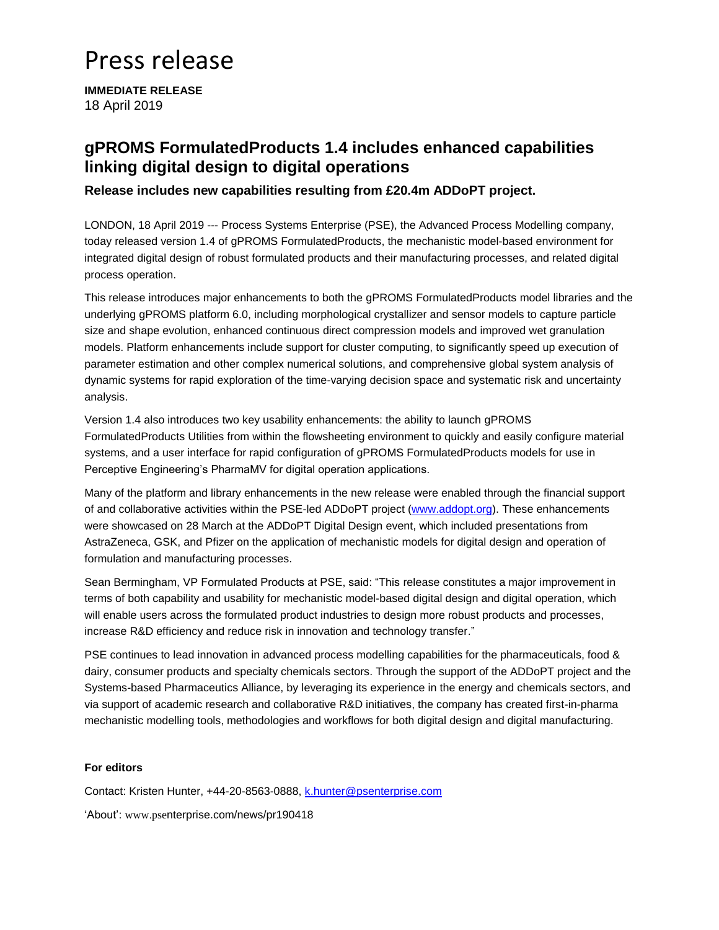# Press release

**IMMEDIATE RELEASE** 18 April 2019

### **gPROMS FormulatedProducts 1.4 includes enhanced capabilities linking digital design to digital operations**

**Release includes new capabilities resulting from £20.4m ADDoPT project.** 

LONDON, 18 April 2019 --- Process Systems Enterprise (PSE), the Advanced Process Modelling company, today released version 1.4 of gPROMS FormulatedProducts, the mechanistic model-based environment for integrated digital design of robust formulated products and their manufacturing processes, and related digital process operation.

This release introduces major enhancements to both the gPROMS FormulatedProducts model libraries and the underlying gPROMS platform 6.0, including morphological crystallizer and sensor models to capture particle size and shape evolution, enhanced continuous direct compression models and improved wet granulation models. Platform enhancements include support for cluster computing, to significantly speed up execution of parameter estimation and other complex numerical solutions, and comprehensive global system analysis of dynamic systems for rapid exploration of the time-varying decision space and systematic risk and uncertainty analysis.

Version 1.4 also introduces two key usability enhancements: the ability to launch gPROMS FormulatedProducts Utilities from within the flowsheeting environment to quickly and easily configure material systems, and a user interface for rapid configuration of gPROMS FormulatedProducts models for use in Perceptive Engineering's PharmaMV for digital operation applications.

Many of the platform and library enhancements in the new release were enabled through the financial support of and collaborative activities within the PSE-led ADDoPT project [\(www.addopt.org\)](http://www.addopt.org/). These enhancements were showcased on 28 March at the ADDoPT Digital Design event, which included presentations from AstraZeneca, GSK, and Pfizer on the application of mechanistic models for digital design and operation of formulation and manufacturing processes.

Sean Bermingham, VP Formulated Products at PSE, said: "This release constitutes a major improvement in terms of both capability and usability for mechanistic model-based digital design and digital operation, which will enable users across the formulated product industries to design more robust products and processes, increase R&D efficiency and reduce risk in innovation and technology transfer."

PSE continues to lead innovation in advanced process modelling capabilities for the pharmaceuticals, food & dairy, consumer products and specialty chemicals sectors. Through the support of the ADDoPT project and the Systems-based Pharmaceutics Alliance, by leveraging its experience in the energy and chemicals sectors, and via support of academic research and collaborative R&D initiatives, the company has created first-in-pharma mechanistic modelling tools, methodologies and workflows for both digital design and digital manufacturing.

### **For editors**

Contact: Kristen Hunter, +44-20-8563-0888, [k.hunter@psenterprise.com](mailto:k.hunter@psenterprise.com)

'About': www.psenterprise.com/news/pr190418